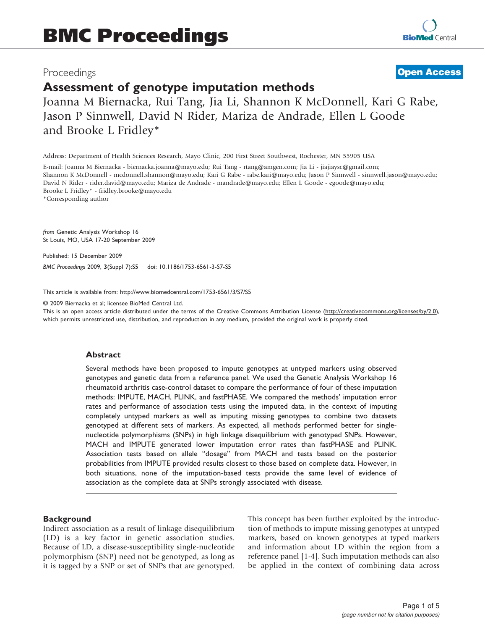# Proceedings

# **[Open Access](http://www.biomedcentral.com/info/about/charter/)**

# Assessment of genotype imputation methods

Joanna M Biernacka, Rui Tang, Jia Li, Shannon K McDonnell, Kari G Rabe, Jason P Sinnwell, David N Rider, Mariza de Andrade, Ellen L Goode and Brooke L Fridley\*

Address: Department of Health Sciences Research, Mayo Clinic, 200 First Street Southwest, Rochester, MN 55905 USA

E-mail: Joanna M Biernacka - [biernacka.joanna@mayo.edu](mailto:biernacka.joanna@mayo.edu); Rui Tang - [rtang@amgen.com;](mailto:rtang@amgen.com) Jia Li - [jiajiaysc@gmail.com;](mailto:jiajiaysc@gmail.com) Shannon K McDonnell - [mcdonnell.shannon@mayo.edu;](mailto:mcdonnell.shannon@mayo.edu) Kari G Rabe - [rabe.kari@mayo.edu;](mailto:rabe.kari@mayo.edu) Jason P Sinnwell - [sinnwell.jason@mayo.edu](mailto:sinnwell.jason@mayo.edu); David N Rider - [rider.david@mayo.edu;](mailto:rider.david@mayo.edu) Mariza de Andrade - [mandrade@mayo.edu](mailto:mandrade@mayo.edu); Ellen L Goode - [egoode@mayo.edu](mailto:egoode@mayo.edu); Brooke L Fridley\* - [fridley.brooke@mayo.edu](mailto:fridley.brooke@mayo.edu) \*Corresponding author

from Genetic Analysis Workshop 16 St Louis, MO, USA 17-20 September 2009

Published: 15 December 2009

BMC Proceedings 2009, 3(Suppl 7):S5 doi: 10.1186/1753-6561-3-S7-S5

This article is available from: http://www.biomedcentral.com/1753-6561/3/S7/S5

© 2009 Biernacka et al; licensee BioMed Central Ltd.

This is an open access article distributed under the terms of the Creative Commons Attribution License [\(http://creativecommons.org/licenses/by/2.0\)](http://creativecommons.org/licenses/by/2.0), which permits unrestricted use, distribution, and reproduction in any medium, provided the original work is properly cited.

## Abstract

Several methods have been proposed to impute genotypes at untyped markers using observed genotypes and genetic data from a reference panel. We used the Genetic Analysis Workshop 16 rheumatoid arthritis case-control dataset to compare the performance of four of these imputation methods: IMPUTE, MACH, PLINK, and fastPHASE. We compared the methods' imputation error rates and performance of association tests using the imputed data, in the context of imputing completely untyped markers as well as imputing missing genotypes to combine two datasets genotyped at different sets of markers. As expected, all methods performed better for singlenucleotide polymorphisms (SNPs) in high linkage disequilibrium with genotyped SNPs. However, MACH and IMPUTE generated lower imputation error rates than fastPHASE and PLINK. Association tests based on allele "dosage" from MACH and tests based on the posterior probabilities from IMPUTE provided results closest to those based on complete data. However, in both situations, none of the imputation-based tests provide the same level of evidence of association as the complete data at SNPs strongly associated with disease.

## **Background**

Indirect association as a result of linkage disequilibrium (LD) is a key factor in genetic association studies. Because of LD, a disease-susceptibility single-nucleotide polymorphism (SNP) need not be genotyped, as long as it is tagged by a SNP or set of SNPs that are genotyped. This concept has been further exploited by the introduction of methods to impute missing genotypes at untyped markers, based on known genotypes at typed markers and information about LD within the region from a reference panel [\[1-4\]](#page-4-0). Such imputation methods can also be applied in the context of combining data across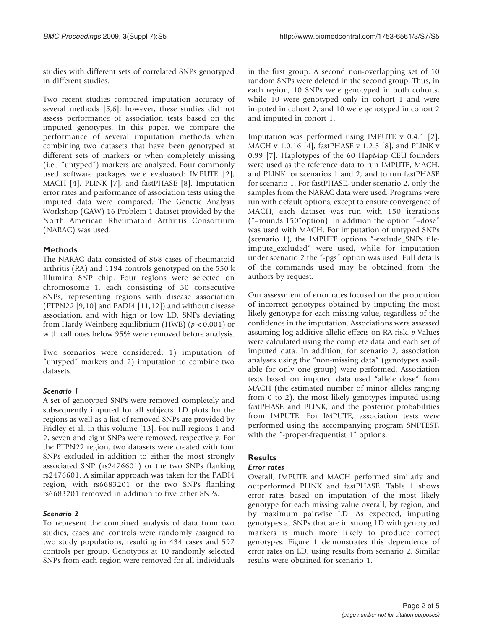studies with different sets of correlated SNPs genotyped in different studies.

Two recent studies compared imputation accuracy of several methods [\[5,6\]](#page-4-0); however, these studies did not assess performance of association tests based on the imputed genotypes. In this paper, we compare the performance of several imputation methods when combining two datasets that have been genotyped at different sets of markers or when completely missing (i.e., "untyped") markers are analyzed. Four commonly used software packages were evaluated: IMPUTE [[2](#page-4-0)], MACH [\[4\]](#page-4-0), PLINK [\[7\]](#page-4-0), and fastPHASE [[8](#page-4-0)]. Imputation error rates and performance of association tests using the imputed data were compared. The Genetic Analysis Workshop (GAW) 16 Problem 1 dataset provided by the North American Rheumatoid Arthritis Consortium (NARAC) was used.

# Methods

The NARAC data consisted of 868 cases of rheumatoid arthritis (RA) and 1194 controls genotyped on the 550 k Illumina SNP chip. Four regions were selected on chromosome 1, each consisting of 30 consecutive SNPs, representing regions with disease association (PTPN22 [[9,10\]](#page-4-0) and PADI4 [\[11](#page-4-0),[12\]](#page-4-0)) and without disease association, and with high or low LD. SNPs deviating from Hardy-Weinberg equilibrium (HWE) ( $p < 0.001$ ) or with call rates below 95% were removed before analysis.

Two scenarios were considered: 1) imputation of "untyped" markers and 2) imputation to combine two datasets.

# Scenario I

A set of genotyped SNPs were removed completely and subsequently imputed for all subjects. LD plots for the regions as well as a list of removed SNPs are provided by Fridley et al. in this volume [\[13](#page-4-0)]. For null regions 1 and 2, seven and eight SNPs were removed, respectively. For the PTPN22 region, two datasets were created with four SNPs excluded in addition to either the most strongly associated SNP (rs2476601) or the two SNPs flanking rs2476601. A similar approach was taken for the PADI4 region, with rs6683201 or the two SNPs flanking rs6683201 removed in addition to five other SNPs.

To represent the combined analysis of data from two studies, cases and controls were randomly assigned to two study populations, resulting in 434 cases and 597 controls per group. Genotypes at 10 randomly selected SNPs from each region were removed for all individuals in the first group. A second non-overlapping set of 10 random SNPs were deleted in the second group. Thus, in each region, 10 SNPs were genotyped in both cohorts, while 10 were genotyped only in cohort 1 and were imputed in cohort 2, and 10 were genotyped in cohort 2 and imputed in cohort 1.

Imputation was performed using IMPUTE v 0.4.1 [[2](#page-4-0)], MACH v 1.0.16 [[4](#page-4-0)], fastPHASE v 1.2.3 [[8](#page-4-0)], and PLINK v 0.99 [\[7\]](#page-4-0). Haplotypes of the 60 HapMap CEU founders were used as the reference data to run IMPUTE, MACH, and PLINK for scenarios 1 and 2, and to run fastPHASE for scenario 1. For fastPHASE, under scenario 2, only the samples from the NARAC data were used. Programs were run with default options, except to ensure convergence of MACH, each dataset was run with 150 iterations ("–rounds 150"option). In addition the option "–dose" was used with MACH. For imputation of untyped SNPs (scenario 1), the IMPUTE options "-exclude\_SNPs fileimpute\_excluded" were used, while for imputation under scenario 2 the "-pgs" option was used. Full details of the commands used may be obtained from the authors by request.

Our assessment of error rates focused on the proportion of incorrect genotypes obtained by imputing the most likely genotype for each missing value, regardless of the confidence in the imputation. Associations were assessed assuming log-additive allelic effects on RA risk. p-Values were calculated using the complete data and each set of imputed data. In addition, for scenario 2, association analyses using the "non-missing data" (genotypes available for only one group) were performed. Association tests based on imputed data used "allele dose" from MACH (the estimated number of minor alleles ranging from 0 to 2), the most likely genotypes imputed using fastPHASE and PLINK, and the posterior probabilities from IMPUTE. For IMPUTE, association tests were performed using the accompanying program SNPTEST, with the "-proper-frequentist 1" options.

# **Results**

# **Error rates**

Overall, IMPUTE and MACH performed similarly and outperformed PLINK and fastPHASE. Table [1](#page-2-0) shows error rates based on imputation of the most likely genotype for each missing value overall, by region, and by maximum pairwise LD. As expected, imputing genotypes at SNPs that are in strong LD with genotyped markers is much more likely to produce correct genotypes. Figure [1](#page-2-0) demonstrates this dependence of error rates on LD, using results from scenario 2. Similar results were obtained for scenario 1.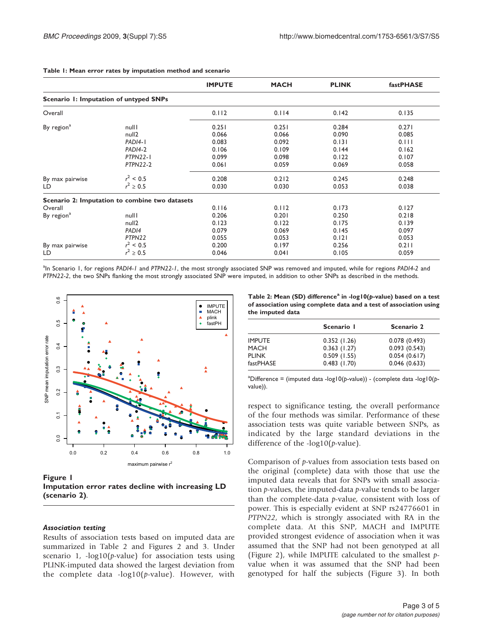|                                        | <b>IMPUTE</b>                              | <b>MACH</b>                                                                                                  | <b>PLINK</b>                     | fastPHASE                                 |
|----------------------------------------|--------------------------------------------|--------------------------------------------------------------------------------------------------------------|----------------------------------|-------------------------------------------|
| Scenario I: Imputation of untyped SNPs |                                            |                                                                                                              |                                  |                                           |
|                                        | 0.112                                      | 0.114                                                                                                        | 0.142                            | 0.135                                     |
| nulll                                  | 0.251                                      | 0.251                                                                                                        | 0.284                            | 0.271                                     |
|                                        |                                            |                                                                                                              |                                  | 0.085                                     |
| PADI4-1                                | 0.083                                      | 0.092                                                                                                        | 0.131                            | 0.111                                     |
| PADI4-2                                | 0.106                                      | 0.109                                                                                                        | 0.144                            | 0.162                                     |
| PTPN22-1                               | 0.099                                      | 0.098                                                                                                        | 0.122                            | 0.107                                     |
| <b>PTPN22-2</b>                        | 0.061                                      | 0.059                                                                                                        | 0.069                            | 0.058                                     |
| $r^2$ < 0.5                            | 0.208                                      | 0.212                                                                                                        | 0.245                            | 0.248                                     |
| $r^2 \ge 0.5$                          | 0.030                                      | 0.030                                                                                                        | 0.053                            | 0.038                                     |
|                                        |                                            |                                                                                                              |                                  |                                           |
|                                        | 0.116                                      | 0.112                                                                                                        | 0.173                            | 0.127                                     |
| nulll                                  | 0.206                                      | 0.201                                                                                                        | 0.250                            | 0.218                                     |
| null <sub>2</sub>                      | 0.123                                      | 0.122                                                                                                        | 0.175                            | 0.139                                     |
| PAD <sub>14</sub>                      |                                            | 0.069                                                                                                        |                                  | 0.097                                     |
|                                        |                                            |                                                                                                              |                                  | 0.053                                     |
|                                        |                                            |                                                                                                              |                                  | 0.211                                     |
|                                        |                                            |                                                                                                              |                                  | 0.059                                     |
|                                        | null <sub>2</sub><br>PTPN22<br>$r^2$ < 0.5 | 0.066<br>Scenario 2: Imputation to combine two datasets<br>0.079<br>0.055<br>0.200<br>$r^2 \ge 0.5$<br>0.046 | 0.066<br>0.053<br>0.197<br>0.041 | 0.090<br>0.145<br>0.121<br>0.256<br>0.105 |

### <span id="page-2-0"></span>Table 1: Mean error rates by imputation method and scenario

<sup>a</sup>In Scenario 1, for regions PADI4-1 and PTPN22-1, the most strongly associated SNP was removed and imputed, while for regions PADI4-2 and PTPN22-2, the two SNPs flanking the most strongly associated SNP were imputed, in addition to other SNPs as described in the methods.



Figure 1

Imputation error rates decline with increasing LD (scenario 2).

Results of association tests based on imputed data are summarized in Table 2 and Figures [2](#page-3-0) and [3.](#page-3-0) Under scenario 1,  $-log10(p-value)$  for association tests using PLINK-imputed data showed the largest deviation from the complete data -log10(p-value). However, with

Table 2: Mean (SD) difference<sup>a</sup> in -log10( $p$ -value) based on a test of association using complete data and a test of association using the imputed data

|               | Scenario I     | Scenario 2   |  |
|---------------|----------------|--------------|--|
| <b>IMPUTE</b> | 0.352(1.26)    | 0.078(0.493) |  |
| MACH          | $0.363$ (1.27) | 0.093(0.543) |  |
| <b>PLINK</b>  | 0.509(1.55)    | 0.054(0.617) |  |
| fastPHASE     | $0.483$ (1.70) | 0.046(0.633) |  |

<sup>&</sup>lt;sup>a</sup>Difference = (imputed data -log10(p-value)) - (complete data -log10(pvalue)).

respect to significance testing, the overall performance of the four methods was similar. Performance of these association tests was quite variable between SNPs, as indicated by the large standard deviations in the difference of the  $-log10(p-value)$ .

Comparison of p-values from association tests based on the original (complete) data with those that use the imputed data reveals that for SNPs with small association  $p$ -values, the imputed-data  $p$ -value tends to be larger than the complete-data  $p$ -value, consistent with loss of power. This is especially evident at SNP rs24776601 in PTPN22, which is strongly associated with RA in the complete data. At this SNP, MACH and IMPUTE provided strongest evidence of association when it was assumed that the SNP had not been genotyped at all (Figure [2\)](#page-3-0), while IMPUTE calculated to the smallest pvalue when it was assumed that the SNP had been genotyped for half the subjects (Figure [3](#page-3-0)). In both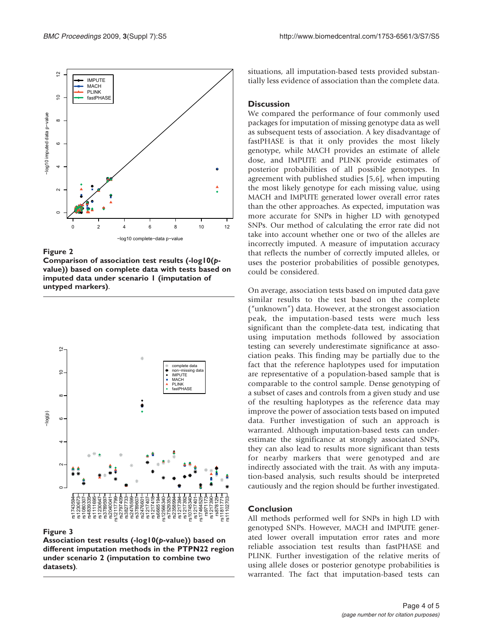<span id="page-3-0"></span>

# Figure 2

Comparison of association test results (-log10(pvalue)) based on complete data with tests based on imputed data under scenario 1 (imputation of untyped markers).



## Figure 3

Association test results (-log10(p-value)) based on different imputation methods in the PTPN22 region under scenario 2 (imputation to combine two datasets).

situations, all imputation-based tests provided substantially less evidence of association than the complete data.

# **Discussion**

We compared the performance of four commonly used packages for imputation of missing genotype data as well as subsequent tests of association. A key disadvantage of fastPHASE is that it only provides the most likely genotype, while MACH provides an estimate of allele dose, and IMPUTE and PLINK provide estimates of posterior probabilities of all possible genotypes. In agreement with published studies [\[5,6\]](#page-4-0), when imputing the most likely genotype for each missing value, using MACH and IMPUTE generated lower overall error rates than the other approaches. As expected, imputation was more accurate for SNPs in higher LD with genotyped SNPs. Our method of calculating the error rate did not take into account whether one or two of the alleles are incorrectly imputed. A measure of imputation accuracy that reflects the number of correctly imputed alleles, or uses the posterior probabilities of possible genotypes, could be considered.

On average, association tests based on imputed data gave similar results to the test based on the complete ("unknown") data. However, at the strongest association peak, the imputation-based tests were much less significant than the complete-data test, indicating that using imputation methods followed by association testing can severely underestimate significance at association peaks. This finding may be partially due to the fact that the reference haplotypes used for imputation are representative of a population-based sample that is comparable to the control sample. Dense genotyping of a subset of cases and controls from a given study and use of the resulting haplotypes as the reference data may improve the power of association tests based on imputed data. Further investigation of such an approach is warranted. Although imputation-based tests can underestimate the significance at strongly associated SNPs, they can also lead to results more significant than tests for nearby markers that were genotyped and are indirectly associated with the trait. As with any imputation-based analysis, such results should be interpreted cautiously and the region should be further investigated.

# Conclusion

All methods performed well for SNPs in high LD with genotyped SNPs. However, MACH and IMPUTE generated lower overall imputation error rates and more reliable association test results than fastPHASE and PLINK. Further investigation of the relative merits of using allele doses or posterior genotype probabilities is warranted. The fact that imputation-based tests can